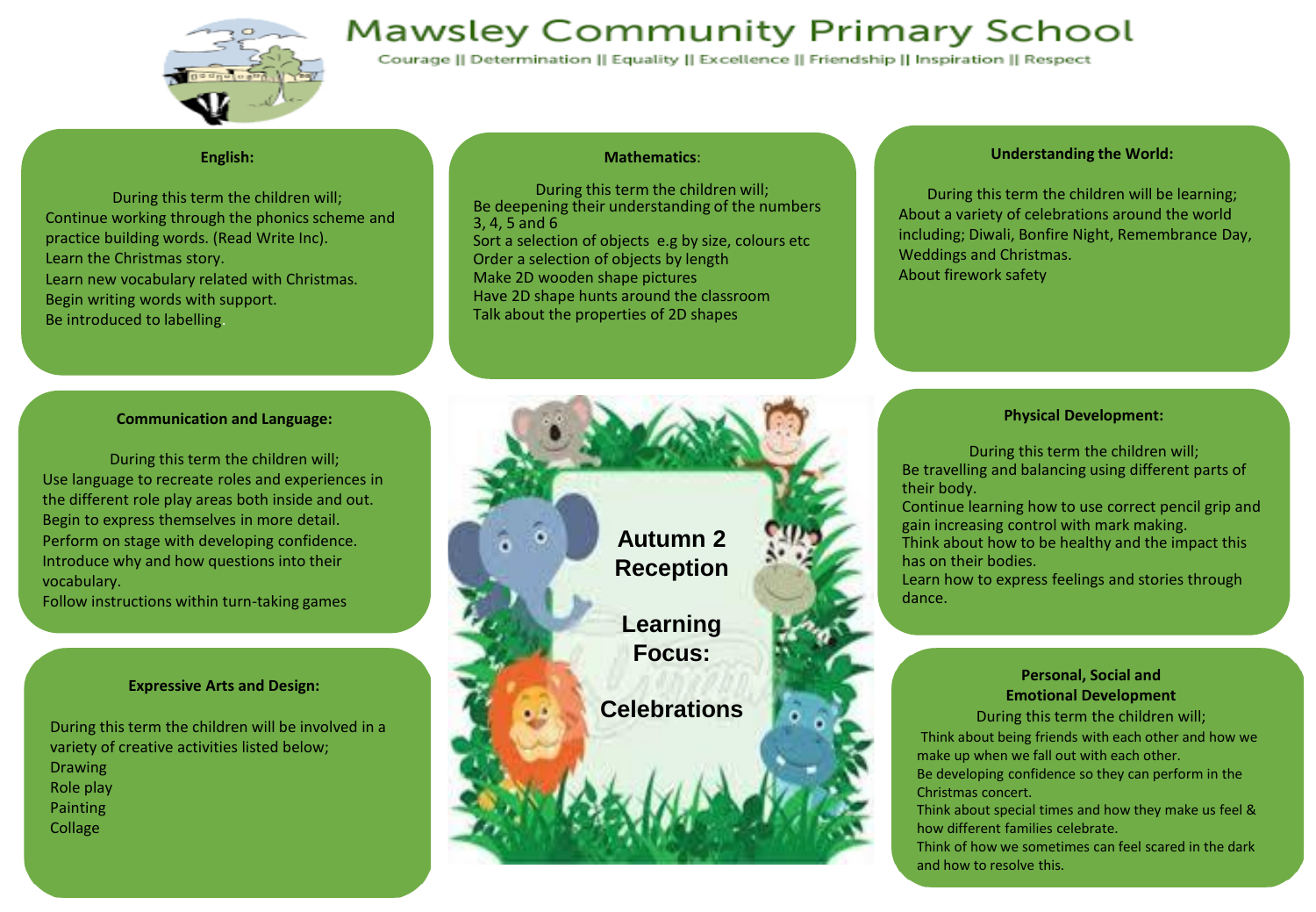

# **Mawsley Community Primary School**

Courage || Determination || Equality || Excellence || Friendship || Inspiration || Respect

# **English:**

During this term the children will; Continue working through the phonics scheme and practice building words. (Read Write Inc). Learn the Christmas story. Learn new vocabulary related with Christmas. Begin writing words with support. Be introduced to labelling.

## **Mathematics**:

During this term the children will; Be deepening their understanding of the numbers 3, 4, 5 and 6 Sort a selection of objects e.g by size, colours etc Order a selection of objects by length Make 2D wooden shape pictures Have 2D shape hunts around the classroom Talk about the properties of 2D shapes

## **Understanding the World:**

During this term the children will be learning; About a variety of celebrations around the world including; Diwali, Bonfire Night, Remembrance Day, Weddings and Christmas. About firework safety

#### **Communication and Language:**

During this term the children will; Use language to recreate roles and experiences in the different role play areas both inside and out. Begin to express themselves in more detail. Perform on stage with developing confidence. Introduce why and how questions into their vocabulary.

Follow instructions within turn-taking games

#### **Expressive Arts and Design:**

During this term the children will be involved in a variety of creative activities listed below; **Drawing** Role play Painting **Collage** 



## **Physical Development:**

During this term the children will; Be travelling and balancing using different parts of their body.

Continue learning how to use correct pencil grip and gain increasing control with mark making. Think about how to be healthy and the impact this

has on their bodies.

Learn how to express feelings and stories through dance.

# **Personal, Social and Emotional Development**

During this term the children will;

Think about being friends with each other and how we make up when we fall out with each other. Be developing confidence so they can perform in the

Christmas concert.

Think about special times and how they make us feel & how different families celebrate.

Think of how we sometimes can feel scared in the dark and how to resolve this.